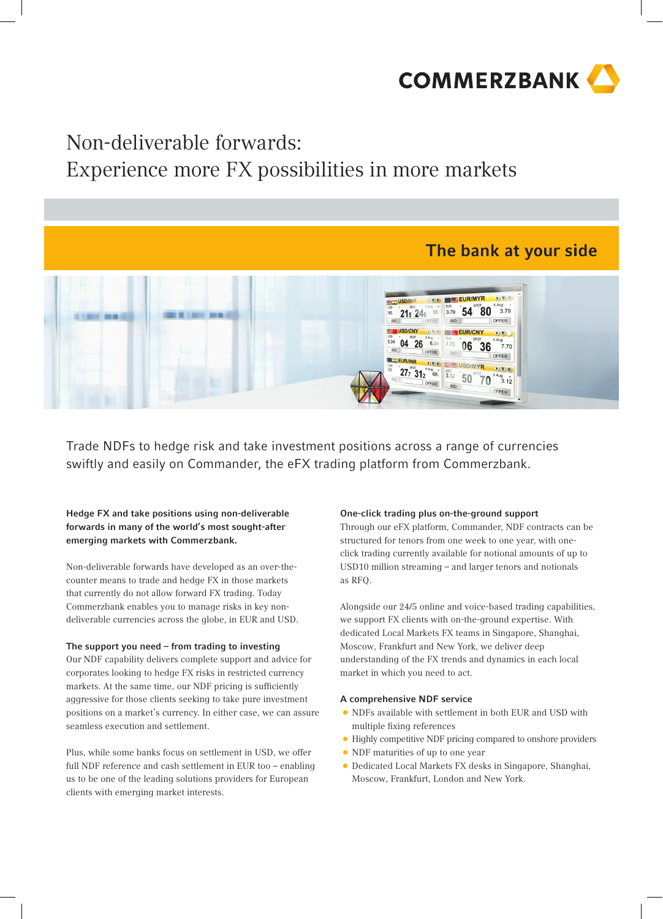

## Non-deliverable forwards:

## Experience more FX possibilities in more markets



Trade NDFs to hedge risk and take investment positions across a range of currencies swiftly and easily on Commander, the eFX trading platform from Commerzbank.

Hedge FX and take positions using non-deliverable forwards in many of the world's most sought-after emerging markets with Commerzbank.

Non-deliverable forwards have developed as an over-thecounter means to trade and hedge FX in those markets that currently do not allow forward FX trading. Today Commerzbank enables you to manage risks in key nondeliverable currencies across the globe, in EUR and USD.

### The support you need – from trading to investing

Our NDF capability delivers complete support and advice for corporates looking to hedge FX risks in restricted currency markets. At the same time, our NDF pricing is sufficiently aggressive for those clients seeking to take pure investment positions on a market's currency. In either case, we can assure seamless execution and settlement.

Plus, while some banks focus on settlement in USD, we offer full NDF reference and cash settlement in EUR too – enabling us to be one of the leading solutions providers for European clients with emerging market interests.

#### One-click trading plus on-the-ground support

Through our eFX platform, Commander, NDF contracts can be structured for tenors from one week to one year, with oneclick trading currently available for notional amounts of up to USD10 million streaming – and larger tenors and notionals as RFQ.

Alongside our 24/5 online and voice-based trading capabilities, we support FX clients with on-the-ground expertise. With dedicated Local Markets FX teams in Singapore, Shanghai, Moscow, Frankfurt and New York, we deliver deep understanding of the FX trends and dynamics in each local market in which you need to act.

#### A comprehensive NDF service

- • NDFs available with settlement in both EUR and USD with multiple fixing references
- Highly competitive NDF pricing compared to onshore providers
- NDF maturities of up to one year
- • Dedicated Local Markets FX desks in Singapore, Shanghai, Moscow, Frankfurt, London and New York.